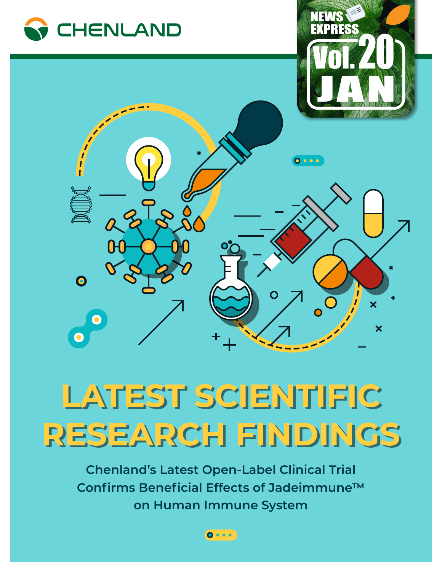

## **LATEST SCIENTIFIC LATEST SCIENTIFIC RESEARCH FINDINGS RESEARCH FINDINGS**

**Chenland's Latest Open-Label Clinical Trial Confirms Beneficial Effects of Jadeimmune™ on Human Immune System**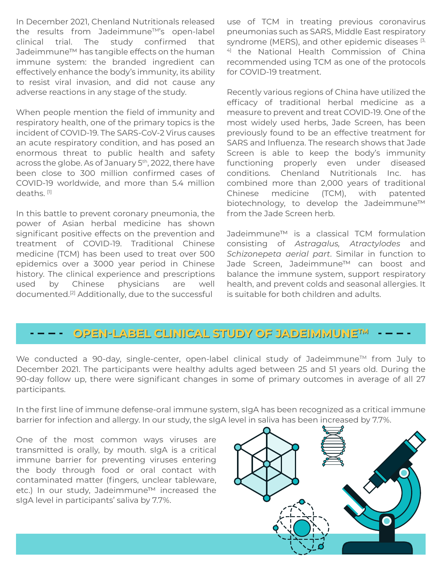In December 2021, Chenland Nutritionals released the results from Jadeimmune<sup>TM'</sup>s open-label clinical trial. The study confirmed that Jadeimmune™ has tangible effects on the human immune system: the branded ingredient can effectively enhance the body's immunity, its ability to resist viral invasion, and did not cause any adverse reactions in any stage of the study.

When people mention the field of immunity and respiratory health, one of the primary topics is the incident of COVID-19. The SARS-CoV-2 Virus causes an acute respiratory condition, and has posed an enormous threat to public health and safety across the globe. As of January 5<sup>th</sup>, 2022, there have been close to 300 million confirmed cases of COVID-19 worldwide, and more than 5.4 million deaths.<sup>[1]</sup>

In this battle to prevent coronary pneumonia, the power of Asian herbal medicine has shown significant positive effects on the prevention and treatment of COVID-19. Traditional Chinese medicine (TCM) has been used to treat over 500 epidemics over a 3000 year period in Chinese history. The clinical experience and prescriptions used by Chinese physicians are well documented.[2] Additionally, due to the successful

use of TCM in treating previous coronavirus pneumonias such as SARS, Middle East respiratory syndrome (MERS), and other epidemic diseases [3, 4] the National Health Commission of China recommended using TCM as one of the protocols for COVID-19 treatment.

Recently various regions of China have utilized the efficacy of traditional herbal medicine as a measure to prevent and treat COVID-19. One of the most widely used herbs, Jade Screen, has been previously found to be an effective treatment for SARS and Influenza. The research shows that Jade Screen is able to keep the body's immunity functioning properly even under diseased conditions. Chenland Nutritionals Inc. has combined more than 2,000 years of traditional Chinese medicine (TCM), with patented biotechnology, to develop the Jadeimmune™ from the Jade Screen herb.

Jadeimmune™ is a classical TCM formulation consisting of *Astragalus, Atractylodes* and *Schizonepeta aerial part*. Similar in function to Jade Screen, Jadeimmune™ can boost and balance the immune system, support respiratory health, and prevent colds and seasonal allergies. It is suitable for both children and adults.

## **OPEN-LABEL CLINICAL STUDY OF JADEIMMUNE OPEN-LABEL CLINICAL STUDY OF JADEIMMUNETMTM**

We conducted a 90-day, single-center, open-label clinical study of Jadeimmune<sup>™</sup> from July to December 2021. The participants were healthy adults aged between 25 and 51 years old. During the 90-day follow up, there were significant changes in some of primary outcomes in average of all 27 participants.

In the first line of immune defense-oral immune system, sIgA has been recognized as a critical immune barrier for infection and allergy. In our study, the sIgA level in saliva has been increased by 7.7%.

One of the most common ways viruses are transmitted is orally, by mouth. sIgA is a critical immune barrier for preventing viruses entering the body through food or oral contact with contaminated matter (fingers, unclear tableware, etc.) In our study, Jadeimmune™ increased the sIgA level in participants' saliva by 7.7%.